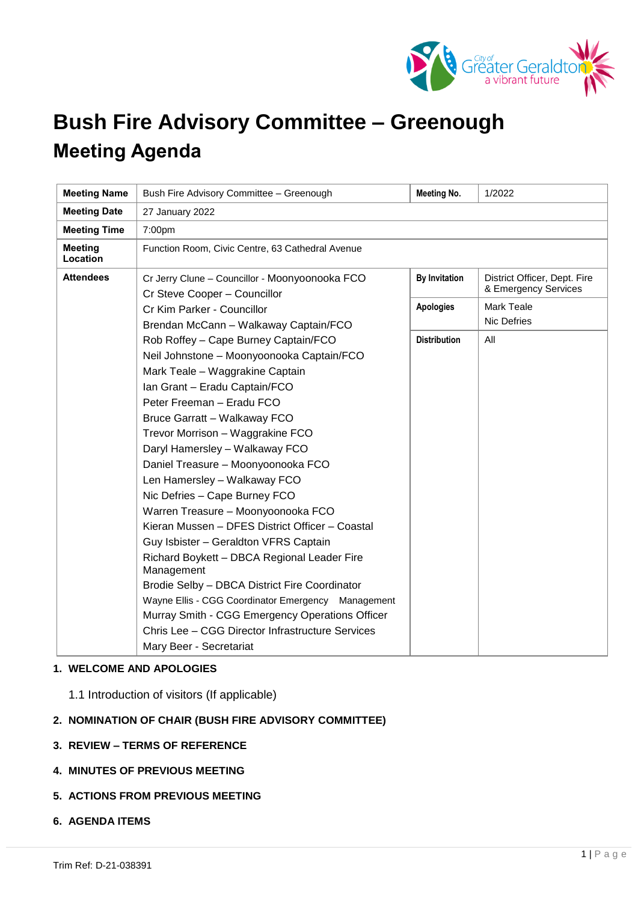

# **Bush Fire Advisory Committee – Greenough Meeting Agenda**

| <b>Meeting Name</b>        | Bush Fire Advisory Committee - Greenough                                                                                                                                                                                                                                                                                                                                                                                                                                                                                                                                                                                                                                                                                                                                                                                                | <b>Meeting No.</b>   | 1/2022                                               |
|----------------------------|-----------------------------------------------------------------------------------------------------------------------------------------------------------------------------------------------------------------------------------------------------------------------------------------------------------------------------------------------------------------------------------------------------------------------------------------------------------------------------------------------------------------------------------------------------------------------------------------------------------------------------------------------------------------------------------------------------------------------------------------------------------------------------------------------------------------------------------------|----------------------|------------------------------------------------------|
| <b>Meeting Date</b>        | 27 January 2022                                                                                                                                                                                                                                                                                                                                                                                                                                                                                                                                                                                                                                                                                                                                                                                                                         |                      |                                                      |
| <b>Meeting Time</b>        | 7:00pm                                                                                                                                                                                                                                                                                                                                                                                                                                                                                                                                                                                                                                                                                                                                                                                                                                  |                      |                                                      |
| <b>Meeting</b><br>Location | Function Room, Civic Centre, 63 Cathedral Avenue                                                                                                                                                                                                                                                                                                                                                                                                                                                                                                                                                                                                                                                                                                                                                                                        |                      |                                                      |
| <b>Attendees</b>           | Cr Jerry Clune - Councillor - Moonyoonooka FCO<br>Cr Steve Cooper - Councillor<br>Cr Kim Parker - Councillor<br>Brendan McCann - Walkaway Captain/FCO                                                                                                                                                                                                                                                                                                                                                                                                                                                                                                                                                                                                                                                                                   | <b>By Invitation</b> | District Officer, Dept. Fire<br>& Emergency Services |
|                            |                                                                                                                                                                                                                                                                                                                                                                                                                                                                                                                                                                                                                                                                                                                                                                                                                                         | <b>Apologies</b>     | <b>Mark Teale</b><br><b>Nic Defries</b>              |
|                            | Rob Roffey - Cape Burney Captain/FCO<br>Neil Johnstone - Moonyoonooka Captain/FCO<br>Mark Teale - Waggrakine Captain<br>Ian Grant - Eradu Captain/FCO<br>Peter Freeman - Eradu FCO<br>Bruce Garratt - Walkaway FCO<br>Trevor Morrison - Waggrakine FCO<br>Daryl Hamersley - Walkaway FCO<br>Daniel Treasure - Moonyoonooka FCO<br>Len Hamersley - Walkaway FCO<br>Nic Defries - Cape Burney FCO<br>Warren Treasure - Moonyoonooka FCO<br>Kieran Mussen - DFES District Officer - Coastal<br>Guy Isbister - Geraldton VFRS Captain<br>Richard Boykett - DBCA Regional Leader Fire<br>Management<br>Brodie Selby - DBCA District Fire Coordinator<br>Wayne Ellis - CGG Coordinator Emergency Management<br>Murray Smith - CGG Emergency Operations Officer<br>Chris Lee - CGG Director Infrastructure Services<br>Mary Beer - Secretariat | <b>Distribution</b>  | All                                                  |

## **1. WELCOME AND APOLOGIES**

1.1 Introduction of visitors (If applicable)

# **2. NOMINATION OF CHAIR (BUSH FIRE ADVISORY COMMITTEE)**

- **3. REVIEW – TERMS OF REFERENCE**
- **4. MINUTES OF PREVIOUS MEETING**
- **5. ACTIONS FROM PREVIOUS MEETING**

#### **6. AGENDA ITEMS**